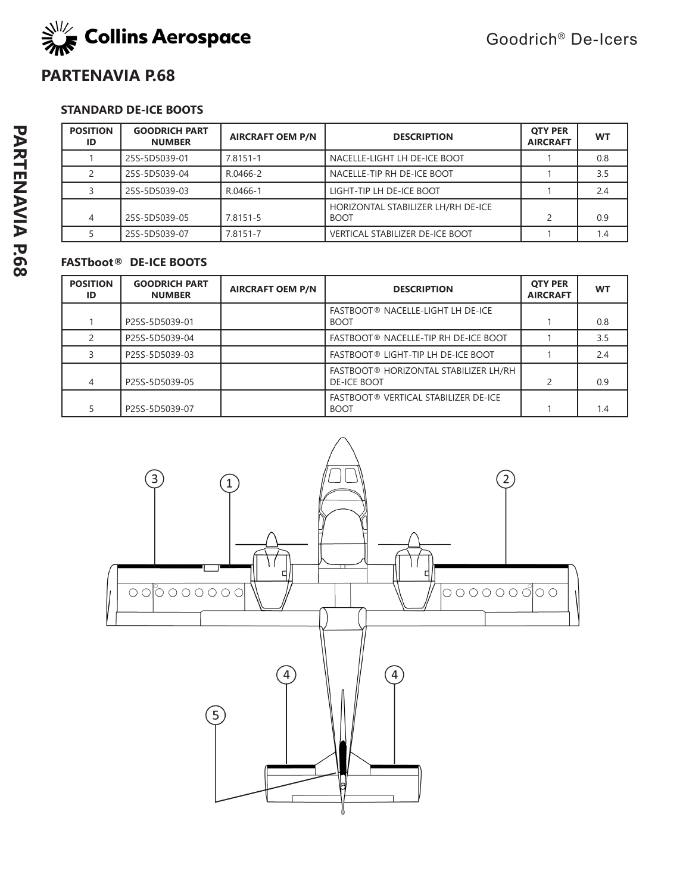

### **PARTENAVIA P.68**

### **STANDARD DE-ICE BOOTS**

| <b>POSITION</b><br>ID | <b>GOODRICH PART</b><br><b>NUMBER</b> | <b>AIRCRAFT OEM P/N</b> | <b>DESCRIPTION</b>                                | <b>OTY PER</b><br><b>AIRCRAFT</b> | <b>WT</b> |
|-----------------------|---------------------------------------|-------------------------|---------------------------------------------------|-----------------------------------|-----------|
|                       | 25S-5D5039-01                         | 7.8151-1                | NACELLE-LIGHT LH DE-ICE BOOT                      |                                   | 0.8       |
|                       | 25S-5D5039-04                         | R.0466-2                | NACELLE-TIP RH DE-ICE BOOT                        |                                   | 3.5       |
|                       | 25S-5D5039-03                         | R.0466-1                | LIGHT-TIP LH DE-ICE BOOT                          |                                   | 2.4       |
| 4                     | 25S-5D5039-05                         | 7.8151-5                | HORIZONTAL STABILIZER LH/RH DE-ICE<br><b>BOOT</b> |                                   | 0.9       |
|                       | 25S-5D5039-07                         | 7.8151-7                | <b>VERTICAL STABILIZER DE-ICE BOOT</b>            |                                   | 1.4       |

| <b>POSITION</b><br>ID | <b>GOODRICH PART</b><br><b>NUMBER</b> | <b>AIRCRAFT OEM P/N</b> | <b>DESCRIPTION</b>                                          | <b>OTY PER</b><br><b>AIRCRAFT</b> | WT  |
|-----------------------|---------------------------------------|-------------------------|-------------------------------------------------------------|-----------------------------------|-----|
|                       | P25S-5D5039-01                        |                         | FASTBOOT® NACELLE-LIGHT LH DE-ICE<br><b>BOOT</b>            |                                   | 0.8 |
| $\mathcal{P}$         | P25S-5D5039-04                        |                         | FASTBOOT® NACELLE-TIP RH DE-ICE BOOT                        |                                   | 3.5 |
|                       | P25S-5D5039-03                        |                         | FASTBOOT® LIGHT-TIP LH DE-ICE BOOT                          |                                   | 2.4 |
| 4                     | P25S-5D5039-05                        |                         | FASTBOOT® HORIZONTAL STABILIZER LH/RH<br><b>DE-ICE BOOT</b> |                                   | 0.9 |
|                       | P25S-5D5039-07                        |                         | FASTBOOT® VERTICAL STABILIZER DE-ICE<br><b>BOOT</b>         |                                   | 1.4 |

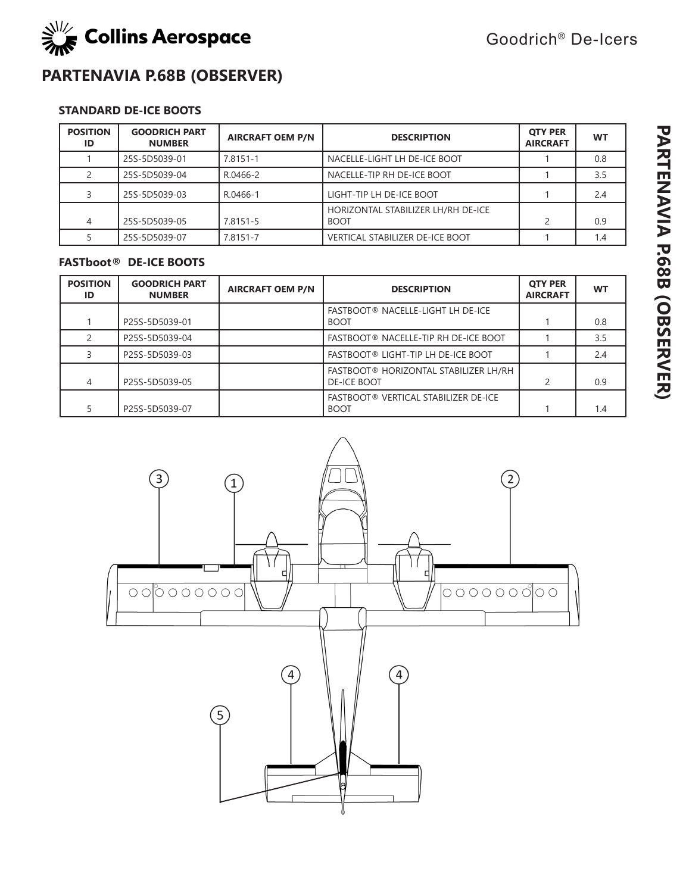

### **PARTENAVIA P.68B (OBSERVER)**

### **STANDARD DE-ICE BOOTS**

| <b>POSITION</b><br>ID | <b>GOODRICH PART</b><br><b>NUMBER</b> | <b>AIRCRAFT OEM P/N</b> | <b>DESCRIPTION</b>                                | <b>OTY PER</b><br><b>AIRCRAFT</b> | <b>WT</b> |
|-----------------------|---------------------------------------|-------------------------|---------------------------------------------------|-----------------------------------|-----------|
|                       | 25S-5D5039-01                         | 7.8151-1                | NACELLE-LIGHT LH DE-ICE BOOT                      |                                   | 0.8       |
|                       | 25S-5D5039-04                         | R.0466-2                | NACELLE-TIP RH DE-ICE BOOT                        |                                   | 3.5       |
|                       | 25S-5D5039-03                         | R.0466-1                | LIGHT-TIP LH DE-ICE BOOT                          |                                   | 2.4       |
|                       | 25S-5D5039-05                         | 7.8151-5                | HORIZONTAL STABILIZER LH/RH DE-ICE<br><b>BOOT</b> |                                   | 0.9       |
|                       | 25S-5D5039-07                         | 7.8151-7                | <b>VERTICAL STABILIZER DE-ICE BOOT</b>            |                                   | 1.4       |

| <b>POSITION</b><br>ID | <b>GOODRICH PART</b><br><b>NUMBER</b> | <b>AIRCRAFT OEM P/N</b> | <b>DESCRIPTION</b>                                          | <b>OTY PER</b><br><b>AIRCRAFT</b> | <b>WT</b> |
|-----------------------|---------------------------------------|-------------------------|-------------------------------------------------------------|-----------------------------------|-----------|
|                       | P25S-5D5039-01                        |                         | FASTBOOT® NACELLE-LIGHT LH DE-ICE<br><b>BOOT</b>            |                                   | 0.8       |
|                       | P25S-5D5039-04                        |                         | FASTBOOT® NACELLE-TIP RH DE-ICE BOOT                        |                                   | 3.5       |
|                       | P25S-5D5039-03                        |                         | FASTBOOT® LIGHT-TIP LH DE-ICE BOOT                          |                                   | 2.4       |
| 4                     | P25S-5D5039-05                        |                         | FASTBOOT® HORIZONTAL STABILIZER LH/RH<br><b>DE-ICE BOOT</b> |                                   | 0.9       |
|                       | P25S-5D5039-07                        |                         | FASTBOOT® VERTICAL STABILIZER DE-ICE<br><b>BOOT</b>         |                                   | 1.4       |

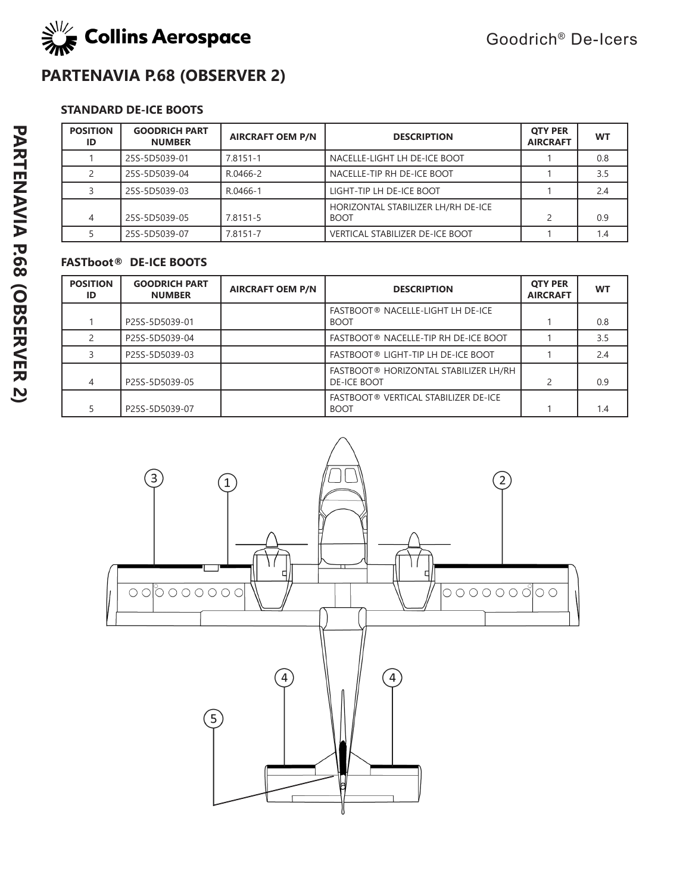

# **PARTENAVIA P.68 (OBSERVER 2)**

### **STANDARD DE-ICE BOOTS**

| <b>POSITION</b><br>ID | <b>GOODRICH PART</b><br><b>NUMBER</b> | <b>AIRCRAFT OEM P/N</b> | <b>DESCRIPTION</b>                                | <b>OTY PER</b><br><b>AIRCRAFT</b> | <b>WT</b> |
|-----------------------|---------------------------------------|-------------------------|---------------------------------------------------|-----------------------------------|-----------|
|                       | 25S-5D5039-01                         | 7.8151-1                | NACELLE-LIGHT LH DE-ICE BOOT                      |                                   | 0.8       |
|                       | 25S-5D5039-04                         | R.0466-2                | NACELLE-TIP RH DE-ICE BOOT                        |                                   | 3.5       |
|                       | 25S-5D5039-03                         | R.0466-1                | LIGHT-TIP LH DE-ICE BOOT                          |                                   | 2.4       |
| 4                     | 25S-5D5039-05                         | 7.8151-5                | HORIZONTAL STABILIZER LH/RH DE-ICE<br><b>BOOT</b> |                                   | 0.9       |
|                       | 25S-5D5039-07                         | 7.8151-7                | <b>VERTICAL STABILIZER DE-ICE BOOT</b>            |                                   | 1.4       |

| <b>POSITION</b><br>ID | <b>GOODRICH PART</b><br><b>NUMBER</b> | <b>AIRCRAFT OEM P/N</b> | <b>DESCRIPTION</b>                                          | <b>OTY PER</b><br><b>AIRCRAFT</b> | WT  |
|-----------------------|---------------------------------------|-------------------------|-------------------------------------------------------------|-----------------------------------|-----|
|                       | P25S-5D5039-01                        |                         | FASTBOOT® NACELLE-LIGHT LH DE-ICE<br><b>BOOT</b>            |                                   | 0.8 |
| $\mathcal{P}$         | P25S-5D5039-04                        |                         | FASTBOOT® NACELLE-TIP RH DE-ICE BOOT                        |                                   | 3.5 |
|                       | P25S-5D5039-03                        |                         | FASTBOOT® LIGHT-TIP LH DE-ICE BOOT                          |                                   | 2.4 |
| 4                     | P25S-5D5039-05                        |                         | FASTBOOT® HORIZONTAL STABILIZER LH/RH<br><b>DE-ICE BOOT</b> | $\overline{c}$                    | 0.9 |
|                       | P25S-5D5039-07                        |                         | FASTBOOT® VERTICAL STABILIZER DE-ICE<br><b>BOOT</b>         |                                   | 1.4 |

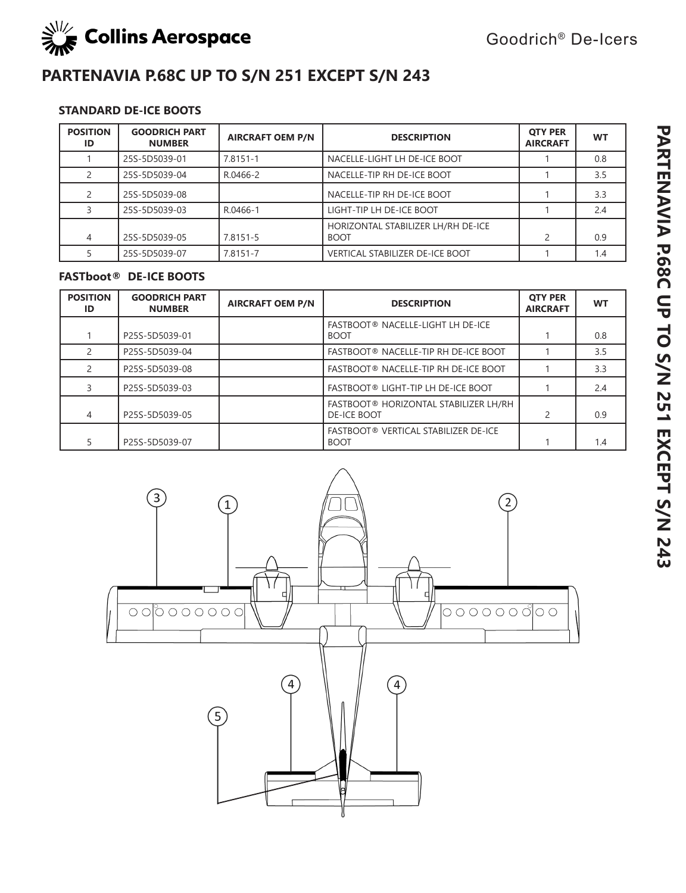

# **PARTENAVIA P.68C UP TO S/N 251 EXCEPT S/N 243**

### **STANDARD DE-ICE BOOTS**

| <b>POSITION</b><br>ID | <b>GOODRICH PART</b><br><b>NUMBER</b> | <b>AIRCRAFT OEM P/N</b> | <b>DESCRIPTION</b>                                | <b>OTY PER</b><br><b>AIRCRAFT</b> | <b>WT</b> |
|-----------------------|---------------------------------------|-------------------------|---------------------------------------------------|-----------------------------------|-----------|
|                       | 25S-5D5039-01                         | 7.8151-1                | NACELLE-LIGHT LH DE-ICE BOOT                      |                                   | 0.8       |
|                       | 25S-5D5039-04                         | R.0466-2                | NACELLE-TIP RH DE-ICE BOOT                        |                                   | 3.5       |
|                       | 25S-5D5039-08                         |                         | NACELLE-TIP RH DE-ICE BOOT                        |                                   | 3.3       |
|                       | 25S-5D5039-03                         | R.0466-1                | LIGHT-TIP LH DE-ICE BOOT                          |                                   | 2.4       |
| 4                     | 25S-5D5039-05                         | 7.8151-5                | HORIZONTAL STABILIZER LH/RH DE-ICE<br><b>BOOT</b> |                                   | 0.9       |
|                       | 25S-5D5039-07                         | 7.8151-7                | <b>VERTICAL STABILIZER DE-ICE BOOT</b>            |                                   | 1.4       |

| <b>POSITION</b><br>ID | <b>GOODRICH PART</b><br><b>NUMBER</b> | <b>AIRCRAFT OEM P/N</b> | <b>DESCRIPTION</b>                                          | <b>OTY PER</b><br><b>AIRCRAFT</b> | <b>WT</b> |
|-----------------------|---------------------------------------|-------------------------|-------------------------------------------------------------|-----------------------------------|-----------|
|                       | P25S-5D5039-01                        |                         | FASTBOOT® NACELLE-LIGHT LH DE-ICE<br><b>BOOT</b>            |                                   | 0.8       |
|                       | P25S-5D5039-04                        |                         | FASTBOOT® NACELLE-TIP RH DE-ICE BOOT                        |                                   | 3.5       |
|                       | P25S-5D5039-08                        |                         | FASTBOOT® NACELLE-TIP RH DE-ICE BOOT                        |                                   | 3.3       |
|                       | P25S-5D5039-03                        |                         | FASTBOOT® LIGHT-TIP LH DE-ICE BOOT                          |                                   | 2.4       |
| 4                     | P25S-5D5039-05                        |                         | FASTBOOT® HORIZONTAL STABILIZER LH/RH<br><b>DE-ICE BOOT</b> |                                   | 0.9       |
|                       | P25S-5D5039-07                        |                         | FASTBOOT® VERTICAL STABILIZER DE-ICE<br><b>BOOT</b>         |                                   | 1.4       |

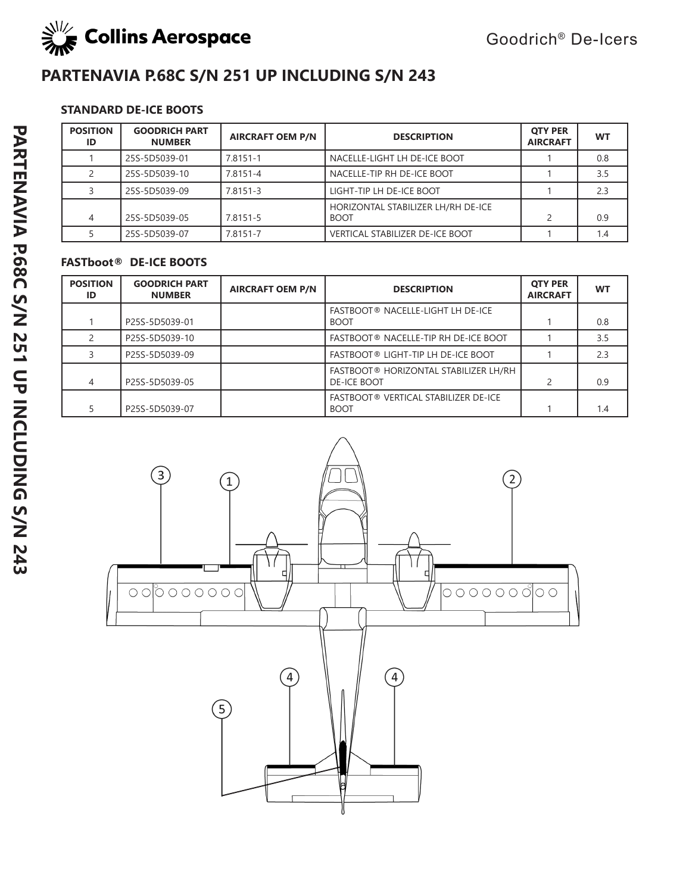

# **PARTENAVIA P.68C S/N 251 UP INCLUDING S/N 243**

### **STANDARD DE-ICE BOOTS**

| <b>POSITION</b><br>ID | <b>GOODRICH PART</b><br><b>NUMBER</b> | <b>AIRCRAFT OEM P/N</b> | <b>DESCRIPTION</b>                                | <b>OTY PER</b><br><b>AIRCRAFT</b> | <b>WT</b> |
|-----------------------|---------------------------------------|-------------------------|---------------------------------------------------|-----------------------------------|-----------|
|                       | 25S-5D5039-01                         | 7.8151-1                | NACELLE-LIGHT LH DE-ICE BOOT                      |                                   | 0.8       |
|                       | 25S-5D5039-10                         | 7.8151-4                | NACELLE-TIP RH DE-ICE BOOT                        |                                   | 3.5       |
|                       | 25S-5D5039-09                         | 7.8151-3                | LIGHT-TIP LH DE-ICE BOOT                          |                                   | 2.3       |
| 4                     | 25S-5D5039-05                         | 7.8151-5                | HORIZONTAL STABILIZER LH/RH DE-ICE<br><b>BOOT</b> |                                   | 0.9       |
|                       | 25S-5D5039-07                         | 7.8151-7                | <b>VERTICAL STABILIZER DE-ICE BOOT</b>            |                                   | 1.4       |

| <b>POSITION</b><br>ID | <b>GOODRICH PART</b><br><b>NUMBER</b> | <b>AIRCRAFT OEM P/N</b> | <b>DESCRIPTION</b>                                           | <b>OTY PER</b><br><b>AIRCRAFT</b> | WT  |
|-----------------------|---------------------------------------|-------------------------|--------------------------------------------------------------|-----------------------------------|-----|
|                       | P25S-5D5039-01                        |                         | FASTBOOT® NACELLE-LIGHT LH DE-ICE<br><b>BOOT</b>             |                                   | 0.8 |
| $\mathcal{P}$         | P25S-5D5039-10                        |                         | FASTBOOT® NACELLE-TIP RH DE-ICE BOOT                         |                                   | 3.5 |
|                       | P25S-5D5039-09                        |                         | FASTBOOT® LIGHT-TIP LH DE-ICE BOOT                           |                                   | 2.3 |
| 4                     | P25S-5D5039-05                        |                         | FASTBOOT ® HORIZONTAL STABILIZER LH/RH<br><b>DE-ICE BOOT</b> | 2                                 | 0.9 |
|                       | P25S-5D5039-07                        |                         | FASTBOOT® VERTICAL STABILIZER DE-ICE<br><b>BOOT</b>          |                                   | 1.4 |

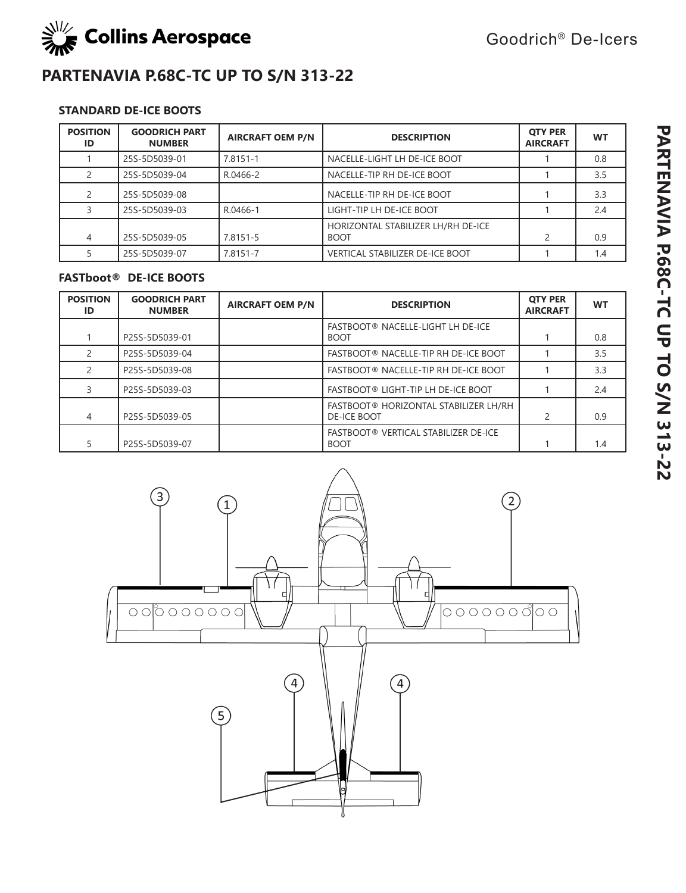

### **PARTENAVIA P.68C-TC UP TO S/N 313-22**

### **STANDARD DE-ICE BOOTS**

| <b>POSITION</b><br>ID | <b>GOODRICH PART</b><br><b>NUMBER</b> | <b>AIRCRAFT OEM P/N</b> | <b>DESCRIPTION</b>                                | <b>OTY PER</b><br><b>AIRCRAFT</b> | <b>WT</b> |
|-----------------------|---------------------------------------|-------------------------|---------------------------------------------------|-----------------------------------|-----------|
|                       | 25S-5D5039-01                         | 7.8151-1                | NACELLE-LIGHT LH DE-ICE BOOT                      |                                   | 0.8       |
|                       | 25S-5D5039-04                         | R.0466-2                | NACELLE-TIP RH DE-ICE BOOT                        |                                   | 3.5       |
|                       | 25S-5D5039-08                         |                         | NACELLE-TIP RH DE-ICE BOOT                        |                                   | 3.3       |
|                       | 25S-5D5039-03                         | R.0466-1                | LIGHT-TIP LH DE-ICE BOOT                          |                                   | 2.4       |
| 4                     | 25S-5D5039-05                         | 7.8151-5                | HORIZONTAL STABILIZER LH/RH DE-ICE<br><b>BOOT</b> | $\mathcal{P}$                     | 0.9       |
|                       | 25S-5D5039-07                         | 7.8151-7                | <b>VERTICAL STABILIZER DE-ICE BOOT</b>            |                                   | 1.4       |

| <b>POSITION</b><br>ID | <b>GOODRICH PART</b><br><b>NUMBER</b> | <b>AIRCRAFT OEM P/N</b> | <b>DESCRIPTION</b>                                          | <b>OTY PER</b><br><b>AIRCRAFT</b> | <b>WT</b> |
|-----------------------|---------------------------------------|-------------------------|-------------------------------------------------------------|-----------------------------------|-----------|
|                       | P25S-5D5039-01                        |                         | FASTBOOT® NACELLE-LIGHT LH DE-ICE<br><b>BOOT</b>            |                                   | 0.8       |
|                       | P25S-5D5039-04                        |                         | FASTBOOT® NACELLE-TIP RH DE-ICE BOOT                        |                                   | 3.5       |
|                       | P25S-5D5039-08                        |                         | FASTBOOT® NACELLE-TIP RH DE-ICE BOOT                        |                                   | 3.3       |
|                       | P25S-5D5039-03                        |                         | FASTBOOT® LIGHT-TIP LH DE-ICE BOOT                          |                                   | 2.4       |
| 4                     | P25S-5D5039-05                        |                         | FASTBOOT® HORIZONTAL STABILIZER LH/RH<br><b>DE-ICE BOOT</b> |                                   | 0.9       |
|                       | P25S-5D5039-07                        |                         | FASTBOOT® VERTICAL STABILIZER DE-ICE<br><b>BOOT</b>         |                                   | 1.4       |

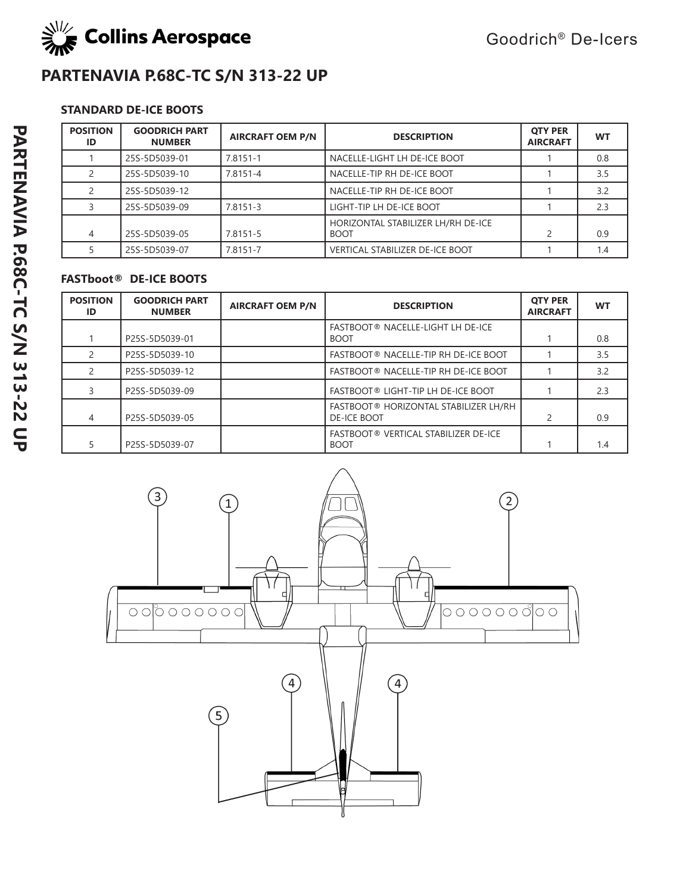

### **PARTENAVIA P.68C-TC S/N 313-22 UP**

### **STANDARD DE-ICE BOOTS**

| <b>POSITION</b><br>ID | <b>GOODRICH PART</b><br><b>NUMBER</b> | <b>AIRCRAFT OEM P/N</b> | <b>DESCRIPTION</b>                                | <b>QTY PER</b><br><b>AIRCRAFT</b> | <b>WT</b> |
|-----------------------|---------------------------------------|-------------------------|---------------------------------------------------|-----------------------------------|-----------|
|                       | 25S-5D5039-01                         | 7.8151-1                | NACELLE-LIGHT LH DE-ICE BOOT                      |                                   | 0.8       |
|                       | 25S-5D5039-10                         | 7.8151-4                | NACELLE-TIP RH DE-ICE BOOT                        |                                   | 3.5       |
|                       | 25S-5D5039-12                         |                         | NACELLE-TIP RH DE-ICE BOOT                        |                                   | 3.2       |
|                       | 25S-5D5039-09                         | 7.8151-3                | LIGHT-TIP LH DE-ICE BOOT                          |                                   | 2.3       |
| 4                     | 25S-5D5039-05                         | 7.8151-5                | HORIZONTAL STABILIZER LH/RH DE-ICE<br><b>BOOT</b> |                                   | 0.9       |
|                       | 25S-5D5039-07                         | 7.8151-7                | VERTICAL STABILIZER DE-ICE BOOT                   |                                   | 1.4       |

| <b>POSITION</b><br>ID | <b>GOODRICH PART</b><br><b>NUMBER</b> | <b>AIRCRAFT OEM P/N</b> | <b>DESCRIPTION</b>                                          | <b>OTY PER</b><br><b>AIRCRAFT</b> | <b>WT</b> |
|-----------------------|---------------------------------------|-------------------------|-------------------------------------------------------------|-----------------------------------|-----------|
|                       | P25S-5D5039-01                        |                         | FASTBOOT® NACELLE-LIGHT LH DE-ICE<br><b>BOOT</b>            |                                   | 0.8       |
|                       | P25S-5D5039-10                        |                         | FASTBOOT® NACELLE-TIP RH DE-ICE BOOT                        |                                   | 3.5       |
|                       | P25S-5D5039-12                        |                         | FASTBOOT® NACELLE-TIP RH DE-ICE BOOT                        |                                   | 3.2       |
|                       | P25S-5D5039-09                        |                         | <b>FASTBOOT® LIGHT-TIP LH DE-ICE BOOT</b>                   |                                   | 2.3       |
| 4                     | P25S-5D5039-05                        |                         | FASTBOOT® HORIZONTAL STABILIZER LH/RH<br><b>DE-ICE BOOT</b> | $\mathcal{P}$                     | 0.9       |
|                       | P25S-5D5039-07                        |                         | FASTBOOT® VERTICAL STABILIZER DE-ICE<br><b>BOOT</b>         |                                   | 1.4       |

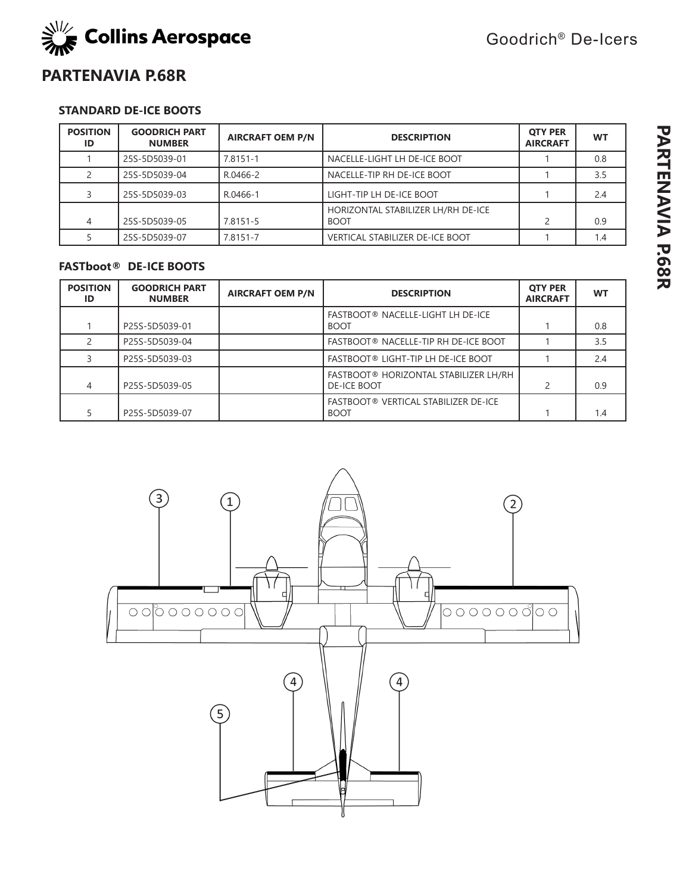

Goodrich® De-Icers

### **PARTENAVIA P.68R**

#### **STANDARD DE-ICE BOOTS**

| <b>POSITION</b><br>ID | <b>GOODRICH PART</b><br><b>NUMBER</b> | <b>AIRCRAFT OEM P/N</b> | <b>DESCRIPTION</b>                                | <b>OTY PER</b><br><b>AIRCRAFT</b> | <b>WT</b> |
|-----------------------|---------------------------------------|-------------------------|---------------------------------------------------|-----------------------------------|-----------|
|                       | 25S-5D5039-01                         | 7.8151-1                | NACELLE-LIGHT LH DE-ICE BOOT                      |                                   | 0.8       |
|                       | 25S-5D5039-04                         | R.0466-2                | NACELLE-TIP RH DE-ICE BOOT                        |                                   | 3.5       |
|                       | 25S-5D5039-03                         | R.0466-1                | LIGHT-TIP LH DE-ICE BOOT                          |                                   | 2.4       |
| 4                     | 25S-5D5039-05                         | 7.8151-5                | HORIZONTAL STABILIZER LH/RH DE-ICE<br><b>BOOT</b> | 2                                 | 0.9       |
|                       | 25S-5D5039-07                         | 7.8151-7                | <b>VERTICAL STABILIZER DE-ICE BOOT</b>            |                                   | 1.4       |

| <b>POSITION</b><br>ID | <b>GOODRICH PART</b><br><b>NUMBER</b> | <b>AIRCRAFT OEM P/N</b> | <b>DESCRIPTION</b>                                          | <b>OTY PER</b><br><b>AIRCRAFT</b> | <b>WT</b> |
|-----------------------|---------------------------------------|-------------------------|-------------------------------------------------------------|-----------------------------------|-----------|
|                       | P25S-5D5039-01                        |                         | FASTBOOT® NACELLE-LIGHT LH DE-ICE<br><b>BOOT</b>            |                                   | 0.8       |
|                       | P25S-5D5039-04                        |                         | FASTBOOT® NACELLE-TIP RH DE-ICE BOOT                        |                                   | 3.5       |
|                       | P25S-5D5039-03                        |                         | FASTBOOT® LIGHT-TIP LH DE-ICE BOOT                          |                                   | 2.4       |
| 4                     | P25S-5D5039-05                        |                         | FASTBOOT® HORIZONTAL STABILIZER LH/RH<br><b>DE-ICE BOOT</b> |                                   | 0.9       |
|                       | P25S-5D5039-07                        |                         | FASTBOOT® VERTICAL STABILIZER DE-ICE<br><b>BOOT</b>         |                                   | 1.4       |

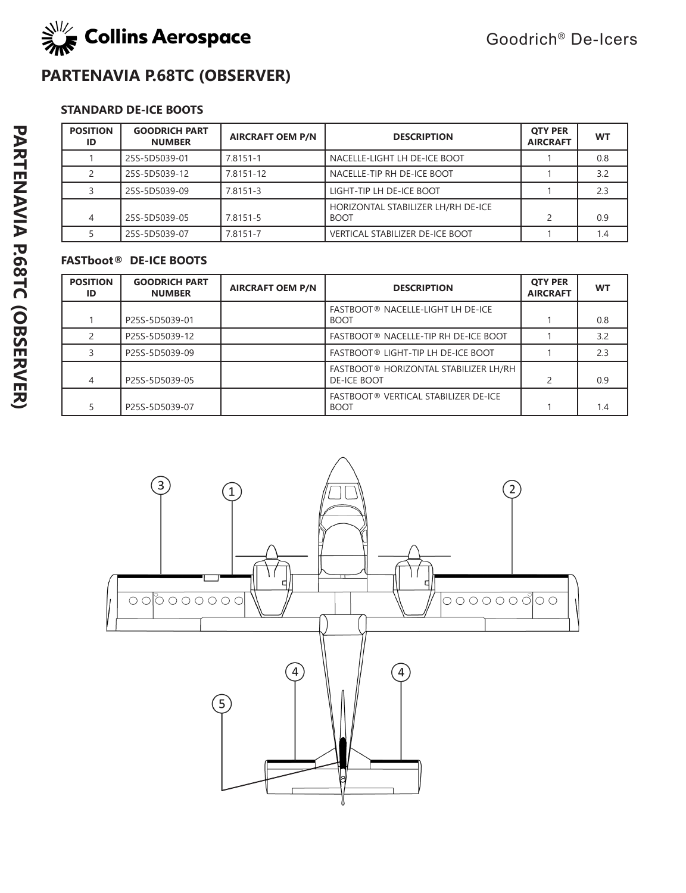

# **PARTENAVIA P.68TC (OBSERVER)**

### **STANDARD DE-ICE BOOTS**

| <b>POSITION</b><br>ID | <b>GOODRICH PART</b><br><b>NUMBER</b> | <b>AIRCRAFT OEM P/N</b> | <b>DESCRIPTION</b>                                | <b>OTY PER</b><br><b>AIRCRAFT</b> | <b>WT</b> |
|-----------------------|---------------------------------------|-------------------------|---------------------------------------------------|-----------------------------------|-----------|
|                       | 25S-5D5039-01                         | 7.8151-1                | NACELLE-LIGHT LH DE-ICE BOOT                      |                                   | 0.8       |
|                       | 25S-5D5039-12                         | 7.8151-12               | NACELLE-TIP RH DE-ICE BOOT                        |                                   | 3.2       |
|                       | 25S-5D5039-09                         | 7.8151-3                | LIGHT-TIP LH DE-ICE BOOT                          |                                   | 2.3       |
| 4                     | 25S-5D5039-05                         | 7.8151-5                | HORIZONTAL STABILIZER LH/RH DE-ICE<br><b>BOOT</b> |                                   | 0.9       |
|                       | 25S-5D5039-07                         | 7.8151-7                | VERTICAL STABILIZER DE-ICE BOOT                   |                                   | 1.4       |

| <b>POSITION</b><br>ID | <b>GOODRICH PART</b><br><b>NUMBER</b> | <b>AIRCRAFT OEM P/N</b> | <b>DESCRIPTION</b>                                          | <b>QTY PER</b><br><b>AIRCRAFT</b> | <b>WT</b> |
|-----------------------|---------------------------------------|-------------------------|-------------------------------------------------------------|-----------------------------------|-----------|
|                       | P25S-5D5039-01                        |                         | FASTBOOT® NACELLE-LIGHT LH DE-ICE<br><b>BOOT</b>            |                                   | 0.8       |
|                       | P25S-5D5039-12                        |                         | FASTBOOT® NACELLE-TIP RH DE-ICE BOOT                        |                                   | 3.2       |
|                       | P25S-5D5039-09                        |                         | FASTBOOT® LIGHT-TIP LH DE-ICE BOOT                          |                                   | 2.3       |
| 4                     | P25S-5D5039-05                        |                         | FASTBOOT® HORIZONTAL STABILIZER LH/RH<br><b>DE-ICE BOOT</b> |                                   | 0.9       |
|                       | P25S-5D5039-07                        |                         | FASTBOOT® VERTICAL STABILIZER DE-ICE<br><b>BOOT</b>         |                                   | 1.4       |

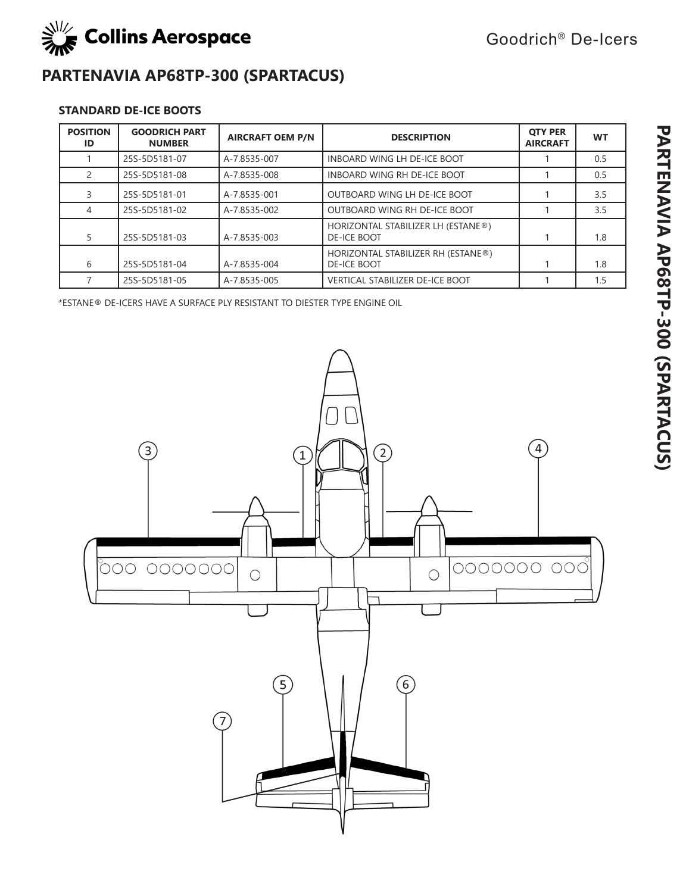

# **PARTENAVIA AP68TP-300 (SPARTACUS)**

### **STANDARD DE-ICE BOOTS**

| <b>POSITION</b><br>ID | <b>GOODRICH PART</b><br><b>NUMBER</b> | <b>AIRCRAFT OEM P/N</b> | <b>DESCRIPTION</b>                                       | <b>OTY PER</b><br><b>AIRCRAFT</b> | <b>WT</b> |
|-----------------------|---------------------------------------|-------------------------|----------------------------------------------------------|-----------------------------------|-----------|
|                       | 25S-5D5181-07                         | A-7.8535-007            | INBOARD WING LH DE-ICE BOOT                              |                                   | 0.5       |
|                       | 25S-5D5181-08                         | A-7.8535-008            | INBOARD WING RH DE-ICE BOOT                              |                                   | 0.5       |
|                       | 25S-5D5181-01                         | A-7.8535-001            | OUTBOARD WING LH DE-ICE BOOT                             |                                   | 3.5       |
| 4                     | 25S-5D5181-02                         | A-7.8535-002            | OUTBOARD WING RH DE-ICE BOOT                             |                                   | 3.5       |
|                       | 25S-5D5181-03                         | A-7.8535-003            | HORIZONTAL STABILIZER LH (ESTANE®)<br><b>DE-ICE BOOT</b> |                                   | 1.8       |
| 6                     | 25S-5D5181-04                         | A-7.8535-004            | HORIZONTAL STABILIZER RH (ESTANE®)<br><b>DE-ICE BOOT</b> |                                   | 1.8       |
|                       | 25S-5D5181-05                         | A-7.8535-005            | <b>VERTICAL STABILIZER DE-ICE BOOT</b>                   |                                   | 1.5       |

\*ESTANE® DE-ICERS HAVE A SURFACE PLY RESISTANT TO DIESTER TYPE ENGINE OIL